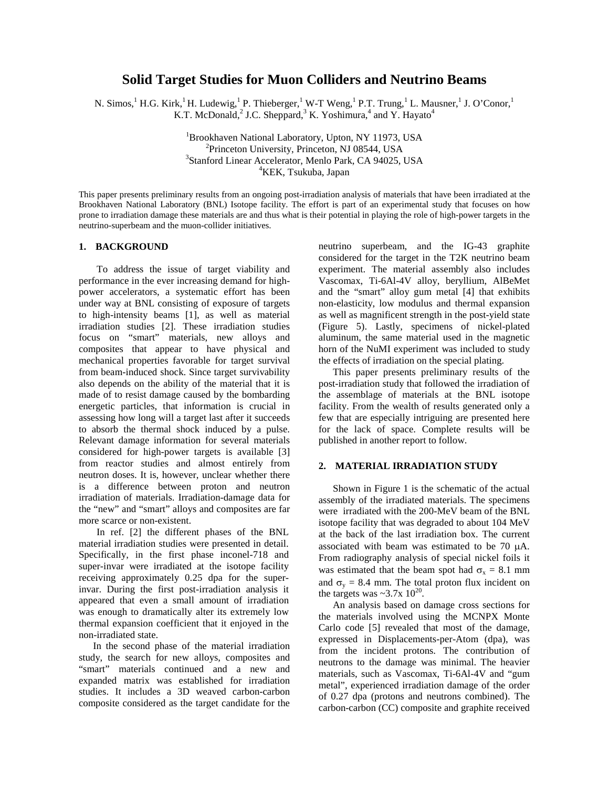# **Solid Target Studies for Muon Colliders and Neutrino Beams**

N. Simos, <sup>1</sup> H.G. Kirk, <sup>1</sup> H. Ludewig, <sup>1</sup> P. Thieberger, <sup>1</sup> W-T Weng, <sup>1</sup> P.T. Trung, <sup>1</sup> L. Mausner, <sup>1</sup> J. O'Conor, <sup>1</sup> K.T. McDonald,<sup>2</sup> J.C. Sheppard,<sup>3</sup> K. Yoshimura,<sup>4</sup> and Y. Hayato<sup>4</sup>

> ${}^{1}$ Brookhaven National Laboratory, Upton, NY 11973, USA  ${}^{2}$ Princeton University, Princeton, NJ 08544, USA  ${}^{2}$ Princeton University, Princeton, NJ 08544, USA <sup>3</sup>Stanford Linear Accelerator, Menlo Park, CA 94025, USA <sup>4</sup>KEK, Tsukuba, Japan

This paper presents preliminary results from an ongoing post-irradiation analysis of materials that have been irradiated at the Brookhaven National Laboratory (BNL) Isotope facility. The effort is part of an experimental study that focuses on how prone to irradiation damage these materials are and thus what is their potential in playing the role of high-power targets in the neutrino-superbeam and the muon-collider initiatives.

# **1. BACKGROUND**

To address the issue of target viability and performance in the ever increasing demand for highpower accelerators, a systematic effort has been under way at BNL consisting of exposure of targets to high-intensity beams [1], as well as material irradiation studies [2]. These irradiation studies focus on "smart" materials, new alloys and composites that appear to have physical and mechanical properties favorable for target survival from beam-induced shock. Since target survivability also depends on the ability of the material that it is made of to resist damage caused by the bombarding energetic particles, that information is crucial in assessing how long will a target last after it succeeds to absorb the thermal shock induced by a pulse. Relevant damage information for several materials considered for high-power targets is available [3] from reactor studies and almost entirely from neutron doses. It is, however, unclear whether there is a difference between proton and neutron irradiation of materials. Irradiation-damage data for the "new" and "smart" alloys and composites are far more scarce or non-existent.

In ref. [2] the different phases of the BNL material irradiation studies were presented in detail. Specifically, in the first phase inconel-718 and super-invar were irradiated at the isotope facility receiving approximately 0.25 dpa for the superinvar. During the first post-irradiation analysis it appeared that even a small amount of irradiation was enough to dramatically alter its extremely low thermal expansion coefficient that it enjoyed in the non-irradiated state.

In the second phase of the material irradiation study, the search for new alloys, composites and "smart" materials continued and a new and expanded matrix was established for irradiation studies. It includes a 3D weaved carbon-carbon composite considered as the target candidate for the

neutrino superbeam, and the IG-43 graphite considered for the target in the T2K neutrino beam experiment. The material assembly also includes Vascomax, Ti-6Al-4V alloy, beryllium, AlBeMet and the "smart" alloy gum metal [4] that exhibits non-elasticity, low modulus and thermal expansion as well as magnificent strength in the post-yield state (Figure 5). Lastly, specimens of nickel-plated aluminum, the same material used in the magnetic horn of the NuMI experiment was included to study the effects of irradiation on the special plating.

This paper presents preliminary results of the post-irradiation study that followed the irradiation of the assemblage of materials at the BNL isotope facility. From the wealth of results generated only a few that are especially intriguing are presented here for the lack of space. Complete results will be published in another report to follow.

#### **2. MATERIAL IRRADIATION STUDY**

Shown in Figure 1 is the schematic of the actual assembly of the irradiated materials. The specimens were irradiated with the 200-MeV beam of the BNL isotope facility that was degraded to about 104 MeV at the back of the last irradiation box. The current associated with beam was estimated to be 70 μA. From radiography analysis of special nickel foils it was estimated that the beam spot had  $\sigma_x = 8.1$  mm and  $\sigma_y = 8.4$  mm. The total proton flux incident on the targets was  $\sim$ 3.7x 10<sup>20</sup>.

An analysis based on damage cross sections for the materials involved using the MCNPX Monte Carlo code [5] revealed that most of the damage, expressed in Displacements-per-Atom (dpa), was from the incident protons. The contribution of neutrons to the damage was minimal. The heavier materials, such as Vascomax, Ti-6Al-4V and "gum metal", experienced irradiation damage of the order of 0.27 dpa (protons and neutrons combined). The carbon-carbon (CC) composite and graphite received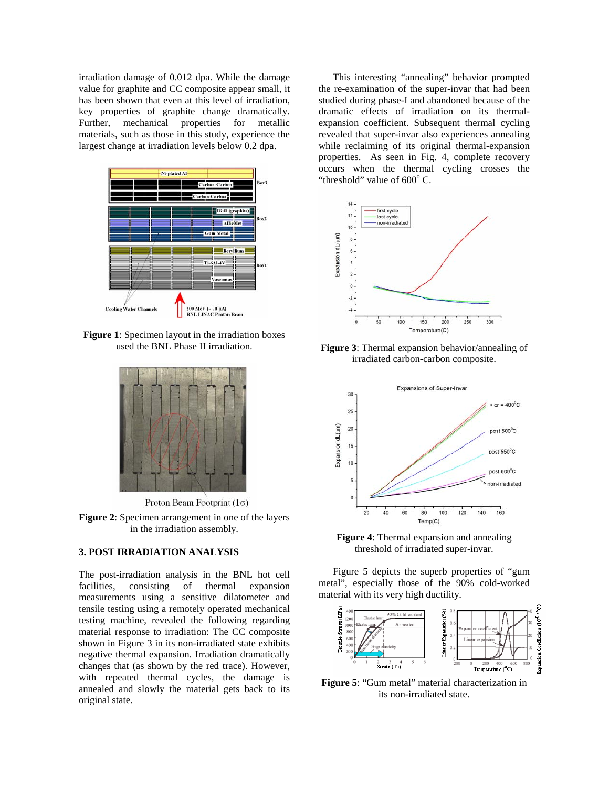irradiation damage of 0.012 dpa. While the damage value for graphite and CC composite appear small, it has been shown that even at this level of irradiation, key properties of graphite change dramatically. Further, mechanical properties for metallic materials, such as those in this study, experience the largest change at irradiation levels below 0.2 dpa.



**Figure 1**: Specimen layout in the irradiation boxes used the BNL Phase II irradiation.



Proton Beam Footprint  $(1\sigma)$ 

**Figure 2**: Specimen arrangement in one of the layers in the irradiation assembly.

# **3. POST IRRADIATION ANALYSIS**

The post-irradiation analysis in the BNL hot cell facilities, consisting of thermal expansion measurements using a sensitive dilatometer and tensile testing using a remotely operated mechanical testing machine, revealed the following regarding material response to irradiation: The CC composite shown in Figure 3 in its non-irradiated state exhibits negative thermal expansion. Irradiation dramatically changes that (as shown by the red trace). However, with repeated thermal cycles, the damage is annealed and slowly the material gets back to its original state.

This interesting "annealing" behavior prompted the re-examination of the super-invar that had been studied during phase-I and abandoned because of the dramatic effects of irradiation on its thermalexpansion coefficient. Subsequent thermal cycling revealed that super-invar also experiences annealing while reclaiming of its original thermal-expansion properties. As seen in Fig. 4, complete recovery occurs when the thermal cycling crosses the "threshold" value of  $600^{\circ}$  C.



**Figure 3**: Thermal expansion behavior/annealing of irradiated carbon-carbon composite.



**Figure 4**: Thermal expansion and annealing threshold of irradiated super-invar.

Figure 5 depicts the superb properties of "gum metal", especially those of the 90% cold-worked material with its very high ductility.



**Figure 5**: "Gum metal" material characterization in its non-irradiated state.